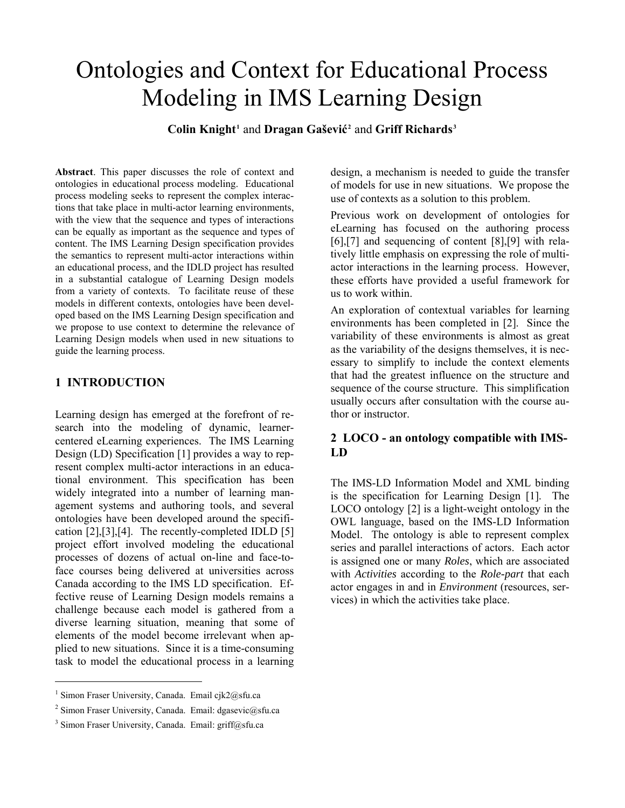# Ontologies and Context for Educational Process Modeling in IMS Learning Design

**Colin Knight[1](#page-0-0)** and **Dragan Gašević[2](#page-0-1)** and **Griff Richards[3](#page-0-2)**

**Abstract**. This paper discusses the role of context and ontologies in educational process modeling. Educational process modeling seeks to represent the complex interactions that take place in multi-actor learning environments, with the view that the sequence and types of interactions can be equally as important as the sequence and types of content. The IMS Learning Design specification provides the semantics to represent multi-actor interactions within an educational process, and the IDLD project has resulted in a substantial catalogue of Learning Design models from a variety of contexts. To facilitate reuse of these models in different contexts, ontologies have been developed based on the IMS Learning Design specification and we propose to use context to determine the relevance of Learning Design models when used in new situations to guide the learning process.

### **1 INTRODUCTION**

Learning design has emerged at the forefront of research into the modeling of dynamic, learnercentered eLearning experiences. The IMS Learning Design (LD) Specification [1] provides a way to represent complex multi-actor interactions in an educational environment. This specification has been widely integrated into a number of learning management systems and authoring tools, and several ontologies have been developed around the specification [2],[3],[4]. The recently-completed IDLD [5] project effort involved modeling the educational processes of dozens of actual on-line and face-toface courses being delivered at universities across Canada according to the IMS LD specification. Effective reuse of Learning Design models remains a challenge because each model is gathered from a diverse learning situation, meaning that some of elements of the model become irrelevant when applied to new situations. Since it is a time-consuming task to model the educational process in a learning

 $\overline{a}$ 

design, a mechanism is needed to guide the transfer of models for use in new situations. We propose the use of contexts as a solution to this problem.

Previous work on development of ontologies for eLearning has focused on the authoring process [6],[7] and sequencing of content [8],[9] with relatively little emphasis on expressing the role of multiactor interactions in the learning process. However, these efforts have provided a useful framework for us to work within.

An exploration of contextual variables for learning environments has been completed in [2]. Since the variability of these environments is almost as great as the variability of the designs themselves, it is necessary to simplify to include the context elements that had the greatest influence on the structure and sequence of the course structure. This simplification usually occurs after consultation with the course author or instructor.

## **2 LOCO - an ontology compatible with IMS-LD**

The IMS-LD Information Model and XML binding is the specification for Learning Design [1]. The LOCO ontology [2] is a light-weight ontology in the OWL language, based on the IMS-LD Information Model. The ontology is able to represent complex series and parallel interactions of actors. Each actor is assigned one or many *Roles*, which are associated with *Activities* according to the *Role-part* that each actor engages in and in *Environment* (resources, services) in which the activities take place.

<span id="page-0-0"></span><sup>&</sup>lt;sup>1</sup> Simon Fraser University, Canada. Email cjk2@sfu.ca

<span id="page-0-1"></span><sup>&</sup>lt;sup>2</sup> Simon Fraser University, Canada. Email: dgasevic@sfu.ca

<span id="page-0-2"></span><sup>&</sup>lt;sup>3</sup> Simon Fraser University, Canada. Email: griff@sfu.ca